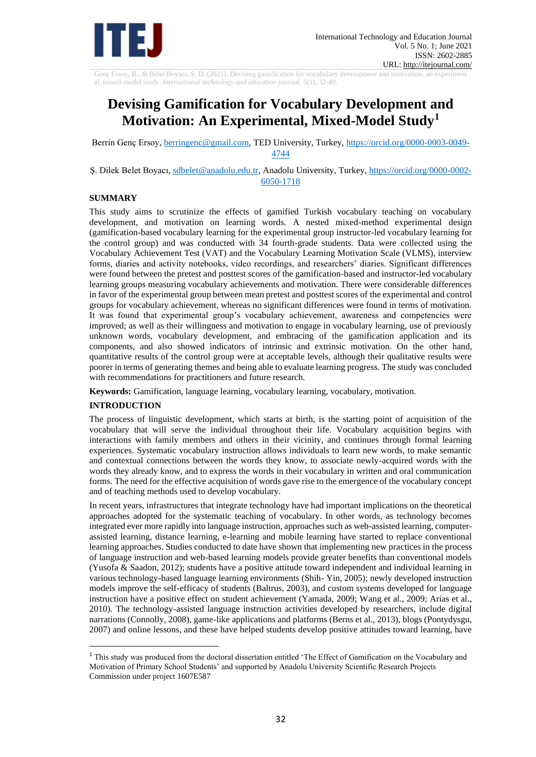

Genç Ersoy, B., & Belet Boyacı, Ş. D. (2021). Devising gamification for vocabulary development and motivation: an experiment al, mixed-model study. *International technology and education journal,* 5(1), 32-49.

# **Devising Gamification for Vocabulary Development and Motivation: An Experimental, Mixed-Model Study<sup>1</sup>**

Berrin Genç Ersoy, [berringenc@gmail.com,](mailto:berringenc@gmail.com) TED University, Turkey, [https://orcid.org/0000-0003-0049-](https://orcid.org/0000-0003-0049-4744) [4744](https://orcid.org/0000-0003-0049-4744)

Ş. Dilek Belet Boyacı, [sdbelet@anadolu.edu.tr,](mailto:sdbelet@anadolu.edu.tr) Anadolu University, Turkey, [https://orcid.org/0000-0002-](https://orcid.org/0000-0002-6050-1718) [6050-1718](https://orcid.org/0000-0002-6050-1718)

### **SUMMARY**

This study aims to scrutinize the effects of gamified Turkish vocabulary teaching on vocabulary development, and motivation on learning words. A nested mixed-method experimental design (gamification-based vocabulary learning for the experimental group instructor-led vocabulary learning for the control group) and was conducted with 34 fourth-grade students. Data were collected using the Vocabulary Achievement Test (VAT) and the Vocabulary Learning Motivation Scale (VLMS), interview forms, diaries and activity notebooks, video recordings, and researchers' diaries. Significant differences were found between the pretest and posttest scores of the gamification-based and instructor-led vocabulary learning groups measuring vocabulary achievements and motivation. There were considerable differences in favor of the experimental group between mean pretest and posttest scores of the experimental and control groups for vocabulary achievement, whereas no significant differences were found in terms of motivation. It was found that experimental group's vocabulary achievement, awareness and competencies were improved; as well as their willingness and motivation to engage in vocabulary learning, use of previously unknown words, vocabulary development, and embracing of the gamification application and its components, and also showed indicators of intrinsic and extrinsic motivation. On the other hand, quantitative results of the control group were at acceptable levels, although their qualitative results were poorer in terms of generating themes and being able to evaluate learning progress. The study was concluded with recommendations for practitioners and future research.

**Keywords:** Gamification, language learning, vocabulary learning, vocabulary, motivation.

# **INTRODUCTION**

The process of linguistic development, which starts at birth, is the starting point of acquisition of the vocabulary that will serve the individual throughout their life. Vocabulary acquisition begins with interactions with family members and others in their vicinity, and continues through formal learning experiences. Systematic vocabulary instruction allows individuals to learn new words, to make semantic and contextual connections between the words they know, to associate newly-acquired words with the words they already know, and to express the words in their vocabulary in written and oral communication forms. The need for the effective acquisition of words gave rise to the emergence of the vocabulary concept and of teaching methods used to develop vocabulary.

In recent years, infrastructures that integrate technology have had important implications on the theoretical approaches adopted for the systematic teaching of vocabulary. In other words, as technology becomes integrated ever more rapidly into language instruction, approaches such as web-assisted learning, computerassisted learning, distance learning, e-learning and mobile learning have started to replace conventional learning approaches. Studies conducted to date have shown that implementing new practices in the process of language instruction and web-based learning models provide greater benefits than conventional models (Yusofa & Saadon, 2012); students have a positive attitude toward independent and individual learning in various technology-based language learning environments (Shih- Yin, 2005); newly developed instruction models improve the self-efficacy of students (Baltrus, 2003), and custom systems developed for language instruction have a positive effect on student achievement (Yamada, 2009; Wang et al., 2009; Arias et al., 2010). The technology-assisted language instruction activities developed by researchers, include digital narrations (Connolly, 2008), game-like applications and platforms (Berns et al., 2013), blogs (Pontydysgu, 2007) and online lessons, and these have helped students develop positive attitudes toward learning, have

<sup>1</sup> This study was produced from the doctoral dissertation entitled 'The Effect of Gamification on the Vocabulary and Motivation of Primary School Students' and supported by Anadolu University Scientific Research Projects Commission under project 1607E587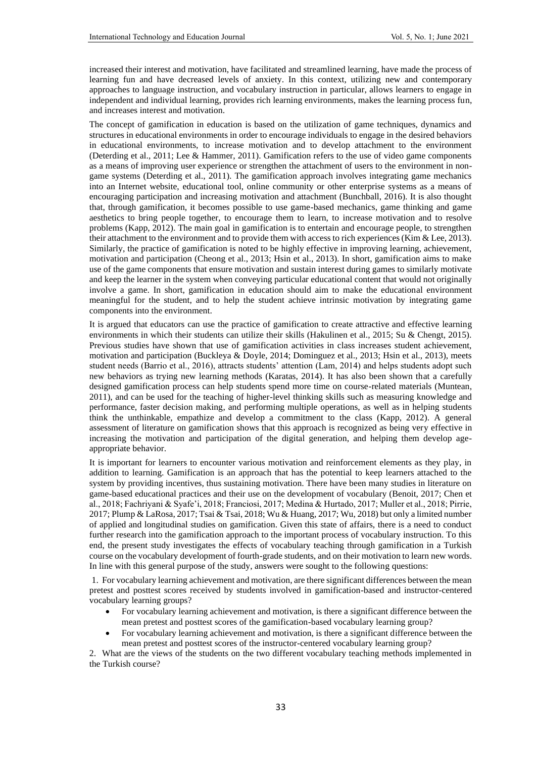increased their interest and motivation, have facilitated and streamlined learning, have made the process of learning fun and have decreased levels of anxiety. In this context, utilizing new and contemporary approaches to language instruction, and vocabulary instruction in particular, allows learners to engage in independent and individual learning, provides rich learning environments, makes the learning process fun, and increases interest and motivation.

The concept of gamification in education is based on the utilization of game techniques, dynamics and structures in educational environments in order to encourage individuals to engage in the desired behaviors in educational environments, to increase motivation and to develop attachment to the environment (Deterding et al., 2011; Lee & Hammer, 2011). Gamification refers to the use of video game components as a means of improving user experience or strengthen the attachment of users to the environment in nongame systems (Deterding et al., 2011). The gamification approach involves integrating game mechanics into an Internet website, educational tool, online community or other enterprise systems as a means of encouraging participation and increasing motivation and attachment (Bunchball, 2016). It is also thought that, through gamification, it becomes possible to use game-based mechanics, game thinking and game aesthetics to bring people together, to encourage them to learn, to increase motivation and to resolve problems (Kapp, 2012). The main goal in gamification is to entertain and encourage people, to strengthen their attachment to the environment and to provide them with access to rich experiences (Kim & Lee, 2013). Similarly, the practice of gamification is noted to be highly effective in improving learning, achievement, motivation and participation (Cheong et al., 2013; Hsin et al., 2013). In short, gamification aims to make use of the game components that ensure motivation and sustain interest during games to similarly motivate and keep the learner in the system when conveying particular educational content that would not originally involve a game. In short, gamification in education should aim to make the educational environment meaningful for the student, and to help the student achieve intrinsic motivation by integrating game components into the environment.

It is argued that educators can use the practice of gamification to create attractive and effective learning environments in which their students can utilize their skills (Hakulinen et al., 2015; Su & Chengt, 2015). Previous studies have shown that use of gamification activities in class increases student achievement, motivation and participation (Buckleya & Doyle, 2014; Dominguez et al., 2013; Hsin et al., 2013), meets student needs (Barrio et al., 2016), attracts students' attention (Lam, 2014) and helps students adopt such new behaviors as trying new learning methods (Karatas, 2014). It has also been shown that a carefully designed gamification process can help students spend more time on course-related materials (Muntean, 2011), and can be used for the teaching of higher-level thinking skills such as measuring knowledge and performance, faster decision making, and performing multiple operations, as well as in helping students think the unthinkable, empathize and develop a commitment to the class (Kapp, 2012). A general assessment of literature on gamification shows that this approach is recognized as being very effective in increasing the motivation and participation of the digital generation, and helping them develop ageappropriate behavior.

It is important for learners to encounter various motivation and reinforcement elements as they play, in addition to learning. Gamification is an approach that has the potential to keep learners attached to the system by providing incentives, thus sustaining motivation. There have been many studies in literature on game-based educational practices and their use on the development of vocabulary (Benoit, 2017; Chen et al., 2018; Fachriyani & Syafe'i, 2018; Franciosi, 2017; Medina & Hurtado, 2017; Muller et al., 2018; Pirrie, 2017; Plump & LaRosa, 2017; Tsai & Tsai, 2018; Wu & Huang, 2017; Wu, 2018) but only a limited number of applied and longitudinal studies on gamification. Given this state of affairs, there is a need to conduct further research into the gamification approach to the important process of vocabulary instruction. To this end, the present study investigates the effects of vocabulary teaching through gamification in a Turkish course on the vocabulary development of fourth-grade students, and on their motivation to learn new words. In line with this general purpose of the study, answers were sought to the following questions:

1. For vocabulary learning achievement and motivation, are there significant differences between the mean pretest and posttest scores received by students involved in gamification-based and instructor-centered vocabulary learning groups?

- For vocabulary learning achievement and motivation, is there a significant difference between the mean pretest and posttest scores of the gamification-based vocabulary learning group?
- For vocabulary learning achievement and motivation, is there a significant difference between the mean pretest and posttest scores of the instructor-centered vocabulary learning group?

2. What are the views of the students on the two different vocabulary teaching methods implemented in the Turkish course?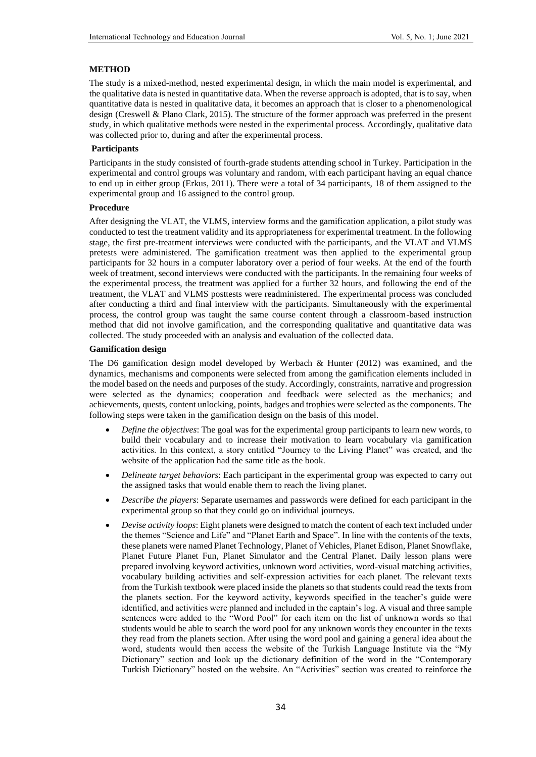#### **METHOD**

The study is a mixed-method, nested experimental design, in which the main model is experimental, and the qualitative data is nested in quantitative data. When the reverse approach is adopted, that is to say, when quantitative data is nested in qualitative data, it becomes an approach that is closer to a phenomenological design (Creswell & Plano Clark, 2015). The structure of the former approach was preferred in the present study, in which qualitative methods were nested in the experimental process. Accordingly, qualitative data was collected prior to, during and after the experimental process.

#### **Participants**

Participants in the study consisted of fourth-grade students attending school in Turkey. Participation in the experimental and control groups was voluntary and random, with each participant having an equal chance to end up in either group (Erkus, 2011). There were a total of 34 participants, 18 of them assigned to the experimental group and 16 assigned to the control group.

#### **Procedure**

After designing the VLAT, the VLMS, interview forms and the gamification application, a pilot study was conducted to test the treatment validity and its appropriateness for experimental treatment. In the following stage, the first pre-treatment interviews were conducted with the participants, and the VLAT and VLMS pretests were administered. The gamification treatment was then applied to the experimental group participants for 32 hours in a computer laboratory over a period of four weeks. At the end of the fourth week of treatment, second interviews were conducted with the participants. In the remaining four weeks of the experimental process, the treatment was applied for a further 32 hours, and following the end of the treatment, the VLAT and VLMS posttests were readministered. The experimental process was concluded after conducting a third and final interview with the participants. Simultaneously with the experimental process, the control group was taught the same course content through a classroom-based instruction method that did not involve gamification, and the corresponding qualitative and quantitative data was collected. The study proceeded with an analysis and evaluation of the collected data.

#### **Gamification design**

The D6 gamification design model developed by Werbach & Hunter (2012) was examined, and the dynamics, mechanisms and components were selected from among the gamification elements included in the model based on the needs and purposes of the study. Accordingly, constraints, narrative and progression were selected as the dynamics; cooperation and feedback were selected as the mechanics; and achievements, quests, content unlocking, points, badges and trophies were selected as the components. The following steps were taken in the gamification design on the basis of this model.

- *Define the objectives*: The goal was for the experimental group participants to learn new words, to build their vocabulary and to increase their motivation to learn vocabulary via gamification activities. In this context, a story entitled "Journey to the Living Planet" was created, and the website of the application had the same title as the book.
- *Delineate target behaviors*: Each participant in the experimental group was expected to carry out the assigned tasks that would enable them to reach the living planet.
- *Describe the players*: Separate usernames and passwords were defined for each participant in the experimental group so that they could go on individual journeys.
- *Devise activity loops*: Eight planets were designed to match the content of each text included under the themes "Science and Life" and "Planet Earth and Space". In line with the contents of the texts, these planets were named Planet Technology, Planet of Vehicles, Planet Edison, Planet Snowflake, Planet Future Planet Fun, Planet Simulator and the Central Planet. Daily lesson plans were prepared involving keyword activities, unknown word activities, word-visual matching activities, vocabulary building activities and self-expression activities for each planet. The relevant texts from the Turkish textbook were placed inside the planets so that students could read the texts from the planets section. For the keyword activity, keywords specified in the teacher's guide were identified, and activities were planned and included in the captain's log. A visual and three sample sentences were added to the "Word Pool" for each item on the list of unknown words so that students would be able to search the word pool for any unknown words they encounter in the texts they read from the planets section. After using the word pool and gaining a general idea about the word, students would then access the website of the Turkish Language Institute via the "My Dictionary" section and look up the dictionary definition of the word in the "Contemporary Turkish Dictionary" hosted on the website. An "Activities" section was created to reinforce the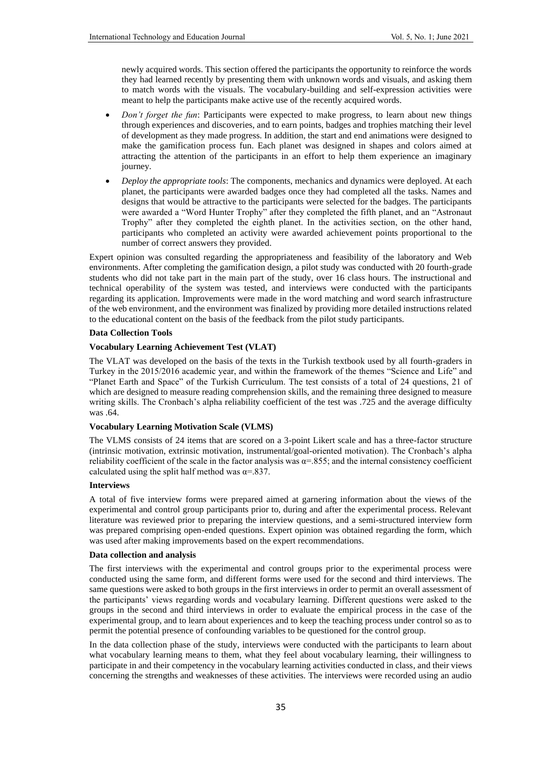newly acquired words. This section offered the participants the opportunity to reinforce the words they had learned recently by presenting them with unknown words and visuals, and asking them to match words with the visuals. The vocabulary-building and self-expression activities were meant to help the participants make active use of the recently acquired words.

- *Don't forget the fun*: Participants were expected to make progress, to learn about new things through experiences and discoveries, and to earn points, badges and trophies matching their level of development as they made progress. In addition, the start and end animations were designed to make the gamification process fun. Each planet was designed in shapes and colors aimed at attracting the attention of the participants in an effort to help them experience an imaginary journey.
- *Deploy the appropriate tools*: The components, mechanics and dynamics were deployed. At each planet, the participants were awarded badges once they had completed all the tasks. Names and designs that would be attractive to the participants were selected for the badges. The participants were awarded a "Word Hunter Trophy" after they completed the fifth planet, and an "Astronaut Trophy" after they completed the eighth planet. In the activities section, on the other hand, participants who completed an activity were awarded achievement points proportional to the number of correct answers they provided.

Expert opinion was consulted regarding the appropriateness and feasibility of the laboratory and Web environments. After completing the gamification design, a pilot study was conducted with 20 fourth-grade students who did not take part in the main part of the study, over 16 class hours. The instructional and technical operability of the system was tested, and interviews were conducted with the participants regarding its application. Improvements were made in the word matching and word search infrastructure of the web environment, and the environment was finalized by providing more detailed instructions related to the educational content on the basis of the feedback from the pilot study participants.

#### **Data Collection Tools**

#### **Vocabulary Learning Achievement Test (VLAT)**

The VLAT was developed on the basis of the texts in the Turkish textbook used by all fourth-graders in Turkey in the 2015/2016 academic year, and within the framework of the themes "Science and Life" and "Planet Earth and Space" of the Turkish Curriculum. The test consists of a total of 24 questions, 21 of which are designed to measure reading comprehension skills, and the remaining three designed to measure writing skills. The Cronbach's alpha reliability coefficient of the test was .725 and the average difficulty was .64.

#### **Vocabulary Learning Motivation Scale (VLMS)**

The VLMS consists of 24 items that are scored on a 3-point Likert scale and has a three-factor structure (intrinsic motivation, extrinsic motivation, instrumental/goal-oriented motivation). The Cronbach's alpha reliability coefficient of the scale in the factor analysis was  $\alpha = 0.855$ ; and the internal consistency coefficient calculated using the split half method was  $\alpha = 837$ .

#### **Interviews**

A total of five interview forms were prepared aimed at garnering information about the views of the experimental and control group participants prior to, during and after the experimental process. Relevant literature was reviewed prior to preparing the interview questions, and a semi-structured interview form was prepared comprising open-ended questions. Expert opinion was obtained regarding the form, which was used after making improvements based on the expert recommendations.

#### **Data collection and analysis**

The first interviews with the experimental and control groups prior to the experimental process were conducted using the same form, and different forms were used for the second and third interviews. The same questions were asked to both groups in the first interviews in order to permit an overall assessment of the participants' views regarding words and vocabulary learning. Different questions were asked to the groups in the second and third interviews in order to evaluate the empirical process in the case of the experimental group, and to learn about experiences and to keep the teaching process under control so as to permit the potential presence of confounding variables to be questioned for the control group.

In the data collection phase of the study, interviews were conducted with the participants to learn about what vocabulary learning means to them, what they feel about vocabulary learning, their willingness to participate in and their competency in the vocabulary learning activities conducted in class, and their views concerning the strengths and weaknesses of these activities. The interviews were recorded using an audio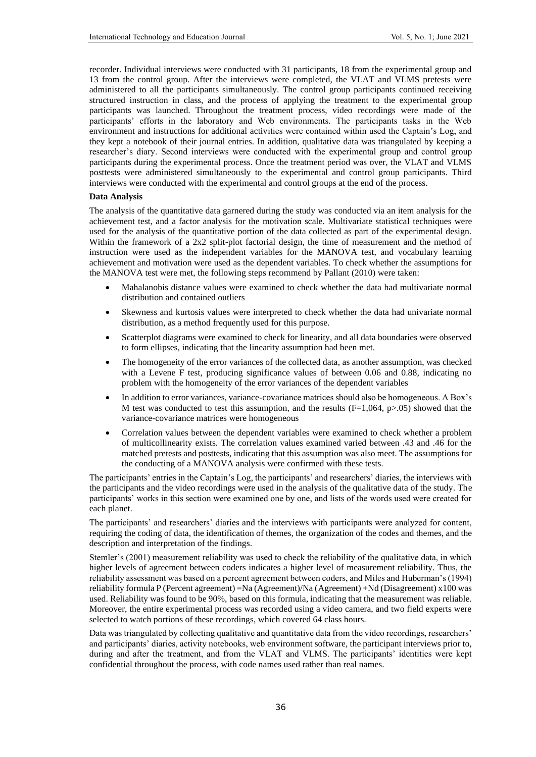recorder. Individual interviews were conducted with 31 participants, 18 from the experimental group and 13 from the control group. After the interviews were completed, the VLAT and VLMS pretests were administered to all the participants simultaneously. The control group participants continued receiving structured instruction in class, and the process of applying the treatment to the experimental group participants was launched. Throughout the treatment process, video recordings were made of the participants' efforts in the laboratory and Web environments. The participants tasks in the Web environment and instructions for additional activities were contained within used the Captain's Log, and they kept a notebook of their journal entries. In addition, qualitative data was triangulated by keeping a researcher's diary. Second interviews were conducted with the experimental group and control group participants during the experimental process. Once the treatment period was over, the VLAT and VLMS posttests were administered simultaneously to the experimental and control group participants. Third interviews were conducted with the experimental and control groups at the end of the process.

#### **Data Analysis**

The analysis of the quantitative data garnered during the study was conducted via an item analysis for the achievement test, and a factor analysis for the motivation scale. Multivariate statistical techniques were used for the analysis of the quantitative portion of the data collected as part of the experimental design. Within the framework of a 2x2 split-plot factorial design, the time of measurement and the method of instruction were used as the independent variables for the MANOVA test, and vocabulary learning achievement and motivation were used as the dependent variables. To check whether the assumptions for the MANOVA test were met, the following steps recommend by Pallant (2010) were taken:

- Mahalanobis distance values were examined to check whether the data had multivariate normal distribution and contained outliers
- Skewness and kurtosis values were interpreted to check whether the data had univariate normal distribution, as a method frequently used for this purpose.
- Scatterplot diagrams were examined to check for linearity, and all data boundaries were observed to form ellipses, indicating that the linearity assumption had been met.
- The homogeneity of the error variances of the collected data, as another assumption, was checked with a Levene F test, producing significance values of between 0.06 and 0.88, indicating no problem with the homogeneity of the error variances of the dependent variables
- In addition to error variances, variance-covariance matrices should also be homogeneous. A Box's M test was conducted to test this assumption, and the results  $(F=1,064, p>0.05)$  showed that the variance-covariance matrices were homogeneous
- Correlation values between the dependent variables were examined to check whether a problem of multicollinearity exists. The correlation values examined varied between .43 and .46 for the matched pretests and posttests, indicating that this assumption was also meet. The assumptions for the conducting of a MANOVA analysis were confirmed with these tests.

The participants' entries in the Captain's Log, the participants' and researchers' diaries, the interviews with the participants and the video recordings were used in the analysis of the qualitative data of the study. The participants' works in this section were examined one by one, and lists of the words used were created for each planet.

The participants' and researchers' diaries and the interviews with participants were analyzed for content, requiring the coding of data, the identification of themes, the organization of the codes and themes, and the description and interpretation of the findings.

Stemler's (2001) measurement reliability was used to check the reliability of the qualitative data, in which higher levels of agreement between coders indicates a higher level of measurement reliability. Thus, the reliability assessment was based on a percent agreement between coders, and Miles and Huberman's (1994) reliability formula P (Percent agreement) =Na (Agreement)/Na (Agreement) +Nd (Disagreement) x100 was used. Reliability was found to be 90%, based on this formula, indicating that the measurement was reliable. Moreover, the entire experimental process was recorded using a video camera, and two field experts were selected to watch portions of these recordings, which covered 64 class hours.

Data was triangulated by collecting qualitative and quantitative data from the video recordings, researchers' and participants' diaries, activity notebooks, web environment software, the participant interviews prior to, during and after the treatment, and from the VLAT and VLMS. The participants' identities were kept confidential throughout the process, with code names used rather than real names.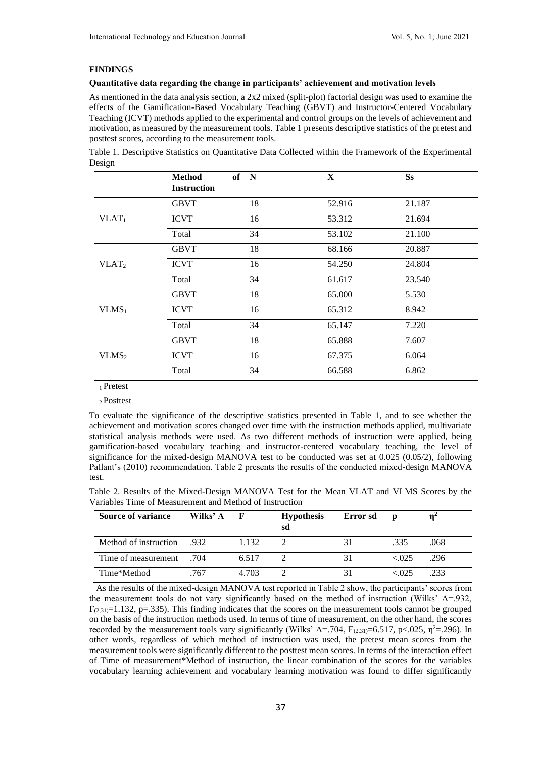#### **FINDINGS**

#### **Quantitative data regarding the change in participants' achievement and motivation levels**

As mentioned in the data analysis section, a 2x2 mixed (split-plot) factorial design was used to examine the effects of the Gamification-Based Vocabulary Teaching (GBVT) and Instructor-Centered Vocabulary Teaching (ICVT) methods applied to the experimental and control groups on the levels of achievement and motivation, as measured by the measurement tools. Table 1 presents descriptive statistics of the pretest and posttest scores, according to the measurement tools.

Table 1. Descriptive Statistics on Quantitative Data Collected within the Framework of the Experimental Design

|                   | <b>Method</b><br><b>Instruction</b> | of N | X      | <b>Ss</b> |
|-------------------|-------------------------------------|------|--------|-----------|
|                   | <b>GBVT</b>                         | 18   | 52.916 | 21.187    |
| $VLAT_1$          | <b>ICVT</b>                         | 16   | 53.312 | 21.694    |
|                   | Total                               | 34   | 53.102 | 21.100    |
|                   | <b>GBVT</b>                         | 18   | 68.166 | 20.887    |
| VLAT <sub>2</sub> | <b>ICVT</b>                         | 16   | 54.250 | 24.804    |
|                   | Total                               | 34   | 61.617 | 23.540    |
|                   | <b>GBVT</b>                         | 18   | 65.000 | 5.530     |
| $VLMS_1$          | <b>ICVT</b>                         | 16   | 65.312 | 8.942     |
|                   | Total                               | 34   | 65.147 | 7.220     |
|                   | <b>GBVT</b>                         | 18   | 65.888 | 7.607     |
| VLMS <sub>2</sub> | <b>ICVT</b>                         | 16   | 67.375 | 6.064     |
|                   | Total                               | 34   | 66.588 | 6.862     |

<sup>1</sup>Pretest

<sup>2</sup>Posttest

To evaluate the significance of the descriptive statistics presented in Table 1, and to see whether the achievement and motivation scores changed over time with the instruction methods applied, multivariate statistical analysis methods were used. As two different methods of instruction were applied, being gamification-based vocabulary teaching and instructor-centered vocabulary teaching, the level of significance for the mixed-design MANOVA test to be conducted was set at 0.025 (0.05/2), following Pallant's (2010) recommendation. Table 2 presents the results of the conducted mixed-design MANOVA test.

|  | Table 2. Results of the Mixed-Design MANOVA Test for the Mean VLAT and VLMS Scores by the |  |  |  |  |  |  |
|--|-------------------------------------------------------------------------------------------|--|--|--|--|--|--|
|  | Variables Time of Measurement and Method of Instruction                                   |  |  |  |  |  |  |

| <b>Source of variance</b>   | Wilks' $\Lambda$ | $\mathbf{F}$ | <b>Hypothesis</b><br>sd | Error sd | $\mathbf{D}$ |      |
|-----------------------------|------------------|--------------|-------------------------|----------|--------------|------|
| .932. Method of instruction |                  | 1.132        |                         | 31       | .335         | .068 |
| 704. Time of measurement    |                  | 6.517        |                         | 31       | < 0.025      | .296 |
| Time*Method                 | 767              | 4.703        |                         | 31       | < 0.025      | .233 |

 As the results of the mixed-design MANOVA test reported in Table 2 show, the participants' scores from the measurement tools do not vary significantly based on the method of instruction (Wilks'  $\Lambda$ =.932,  $F_{(2,31)}=1.132$ , p=.335). This finding indicates that the scores on the measurement tools cannot be grouped on the basis of the instruction methods used. In terms of time of measurement, on the other hand, the scores recorded by the measurement tools vary significantly (Wilks'  $\Lambda$ =.704, F<sub>(2,31)</sub>=6.517, p<.025,  $\eta^2$ =.296). In other words, regardless of which method of instruction was used, the pretest mean scores from the measurement tools were significantly different to the posttest mean scores. In terms of the interaction effect of Time of measurement\*Method of instruction, the linear combination of the scores for the variables vocabulary learning achievement and vocabulary learning motivation was found to differ significantly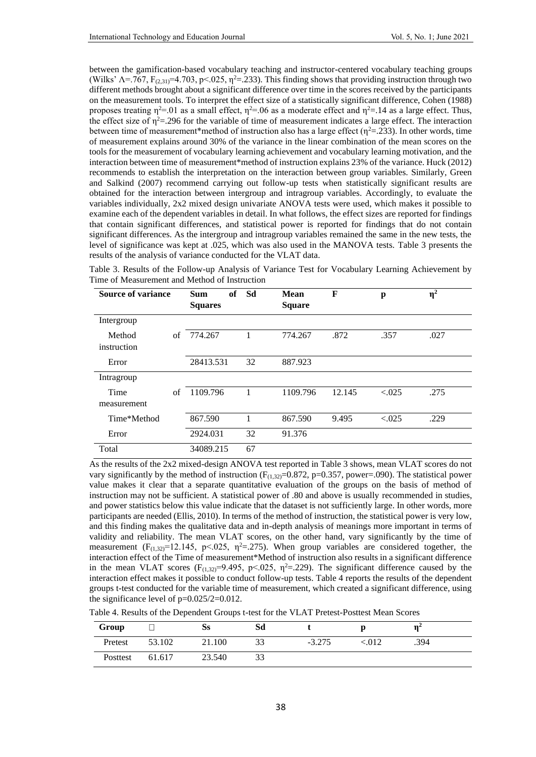between the gamification-based vocabulary teaching and instructor-centered vocabulary teaching groups (Wilks'  $\Lambda$ =.767, F<sub>(2,31)</sub>=4.703, p<.025,  $\eta^2$ =.233). This finding shows that providing instruction through two different methods brought about a significant difference over time in the scores received by the participants on the measurement tools. To interpret the effect size of a statistically significant difference, Cohen (1988) proposes treating  $η^2$ =.01 as a small effect,  $η^2$ =.06 as a moderate effect and  $η^2$ =.14 as a large effect. Thus, the effect size of  $n^2$ =.296 for the variable of time of measurement indicates a large effect. The interaction between time of measurement\*method of instruction also has a large effect ( $\eta^2$ =.233). In other words, time of measurement explains around 30% of the variance in the linear combination of the mean scores on the tools for the measurement of vocabulary learning achievement and vocabulary learning motivation, and the interaction between time of measurement\*method of instruction explains 23% of the variance. Huck (2012) recommends to establish the interpretation on the interaction between group variables. Similarly, Green and Salkind (2007) recommend carrying out follow-up tests when statistically significant results are obtained for the interaction between intergroup and intragroup variables. Accordingly, to evaluate the variables individually, 2x2 mixed design univariate ANOVA tests were used, which makes it possible to examine each of the dependent variables in detail. In what follows, the effect sizes are reported for findings that contain significant differences, and statistical power is reported for findings that do not contain significant differences. As the intergroup and intragroup variables remained the same in the new tests, the level of significance was kept at .025, which was also used in the MANOVA tests. Table 3 presents the results of the analysis of variance conducted for the VLAT data.

Table 3. Results of the Follow-up Analysis of Variance Test for Vocabulary Learning Achievement by Time of Measurement and Method of Instruction

| <b>Source of variance</b> |    | <sub>of</sub><br><b>Sum</b><br><b>Squares</b> | Sd | Mean<br><b>Square</b> | F      | p       | $\eta^2$ |
|---------------------------|----|-----------------------------------------------|----|-----------------------|--------|---------|----------|
| Intergroup                |    |                                               |    |                       |        |         |          |
| Method<br>instruction     | of | 774.267                                       | 1  | 774.267               | .872   | .357    | .027     |
| Error                     |    | 28413.531                                     | 32 | 887.923               |        |         |          |
| Intragroup                |    |                                               |    |                       |        |         |          |
| Time<br>measurement       | of | 1109.796                                      | 1  | 1109.796              | 12.145 | < 0.025 | .275     |
| Time*Method               |    | 867.590                                       | 1  | 867.590               | 9.495  | < 0.025 | .229     |
| Error                     |    | 2924.031                                      | 32 | 91.376                |        |         |          |
| Total                     |    | 34089.215                                     | 67 |                       |        |         |          |

As the results of the 2x2 mixed-design ANOVA test reported in Table 3 shows, mean VLAT scores do not vary significantly by the method of instruction ( $F_{(1,32)}=0.872$ , p=0.357, power=.090). The statistical power value makes it clear that a separate quantitative evaluation of the groups on the basis of method of instruction may not be sufficient. A statistical power of .80 and above is usually recommended in studies, and power statistics below this value indicate that the dataset is not sufficiently large. In other words, more participants are needed (Ellis, 2010). In terms of the method of instruction, the statistical power is very low, and this finding makes the qualitative data and in-depth analysis of meanings more important in terms of validity and reliability. The mean VLAT scores, on the other hand, vary significantly by the time of measurement  $(F_{(1,32)}=12.145, p<0.25, \eta^2=0.275)$ . When group variables are considered together, the interaction effect of the Time of measurement\*Method of instruction also results in a significant difference in the mean VLAT scores (F<sub>(1,32)</sub>=9.495, p<025,  $\eta^2$ =.229). The significant difference caused by the interaction effect makes it possible to conduct follow-up tests. Table 4 reports the results of the dependent groups t-test conducted for the variable time of measurement, which created a significant difference, using the significance level of  $p=0.025/2=0.012$ .

Table 4. Results of the Dependent Groups t-test for the VLAT Pretest-Posttest Mean Scores

| Group    |        | Ss     | Sd |          |        |      |  |
|----------|--------|--------|----|----------|--------|------|--|
| Pretest  | 53.102 | 21.100 |    | $-3.275$ | 012ء - | .394 |  |
| Posttest | 61.617 | 23.540 |    |          |        |      |  |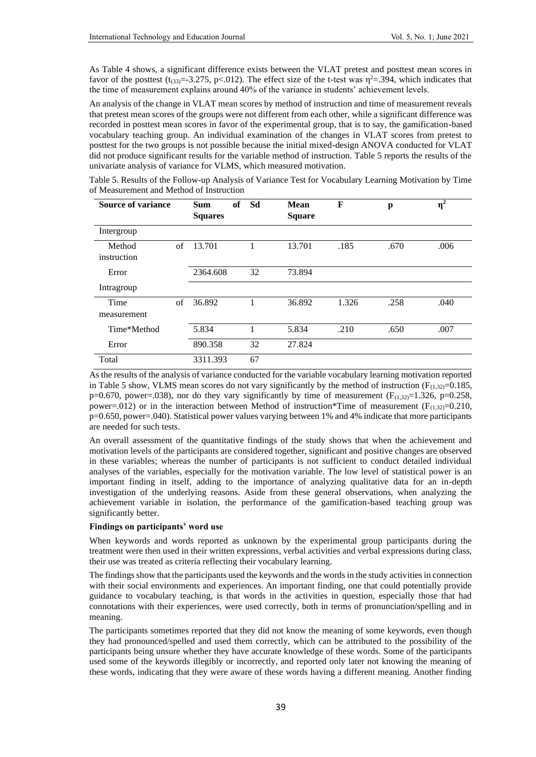As Table 4 shows, a significant difference exists between the VLAT pretest and posttest mean scores in favor of the posttest (t<sub>(33)</sub>=-3.275, p< 012). The effect size of the t-test was  $\eta^2$ =.394, which indicates that the time of measurement explains around 40% of the variance in students' achievement levels.

An analysis of the change in VLAT mean scores by method of instruction and time of measurement reveals that pretest mean scores of the groups were not different from each other, while a significant difference was recorded in posttest mean scores in favor of the experimental group, that is to say, the gamification-based vocabulary teaching group. An individual examination of the changes in VLAT scores from pretest to posttest for the two groups is not possible because the initial mixed-design ANOVA conducted for VLAT did not produce significant results for the variable method of instruction. Table 5 reports the results of the univariate analysis of variance for VLMS, which measured motivation.

Table 5. Results of the Follow-up Analysis of Variance Test for Vocabulary Learning Motivation by Time of Measurement and Method of Instruction

| <b>Source of variance</b> |    | of<br><b>Sum</b><br><b>Squares</b> | Sd | <b>Mean</b><br><b>Square</b> | F     | p    | $\eta^2$ |
|---------------------------|----|------------------------------------|----|------------------------------|-------|------|----------|
| Intergroup                |    |                                    |    |                              |       |      |          |
| Method<br>instruction     | of | 13.701                             |    | 13.701                       | .185  | .670 | .006     |
| Error                     |    | 2364.608                           | 32 | 73.894                       |       |      |          |
| Intragroup                |    |                                    |    |                              |       |      |          |
| Time<br>measurement       | of | 36.892                             |    | 36.892                       | 1.326 | .258 | .040     |
| Time*Method               |    | 5.834                              |    | 5.834                        | .210  | .650 | .007     |
| Error                     |    | 890.358                            | 32 | 27.824                       |       |      |          |
| Total                     |    | 3311.393                           | 67 |                              |       |      |          |

As the results of the analysis of variance conducted for the variable vocabulary learning motivation reported in Table 5 show, VLMS mean scores do not vary significantly by the method of instruction ( $F_{(1,32)}=0.185$ , p=0.670, power=.038), nor do they vary significantly by time of measurement  $(F_{(1,32)}=1.326, p=0.258, p=0.258)$ power=.012) or in the interaction between Method of instruction\*Time of measurement ( $F_{(1,32)}=0.210$ , p=0.650, power=.040). Statistical power values varying between 1% and 4% indicate that more participants are needed for such tests.

An overall assessment of the quantitative findings of the study shows that when the achievement and motivation levels of the participants are considered together, significant and positive changes are observed in these variables; whereas the number of participants is not sufficient to conduct detailed individual analyses of the variables, especially for the motivation variable. The low level of statistical power is an important finding in itself, adding to the importance of analyzing qualitative data for an in-depth investigation of the underlying reasons. Aside from these general observations, when analyzing the achievement variable in isolation, the performance of the gamification-based teaching group was significantly better.

#### **Findings on participants' word use**

When keywords and words reported as unknown by the experimental group participants during the treatment were then used in their written expressions, verbal activities and verbal expressions during class, their use was treated as criteria reflecting their vocabulary learning.

The findings show that the participants used the keywords and the words in the study activities in connection with their social environments and experiences. An important finding, one that could potentially provide guidance to vocabulary teaching, is that words in the activities in question, especially those that had connotations with their experiences, were used correctly, both in terms of pronunciation/spelling and in meaning.

The participants sometimes reported that they did not know the meaning of some keywords, even though they had pronounced/spelled and used them correctly, which can be attributed to the possibility of the participants being unsure whether they have accurate knowledge of these words. Some of the participants used some of the keywords illegibly or incorrectly, and reported only later not knowing the meaning of these words, indicating that they were aware of these words having a different meaning. Another finding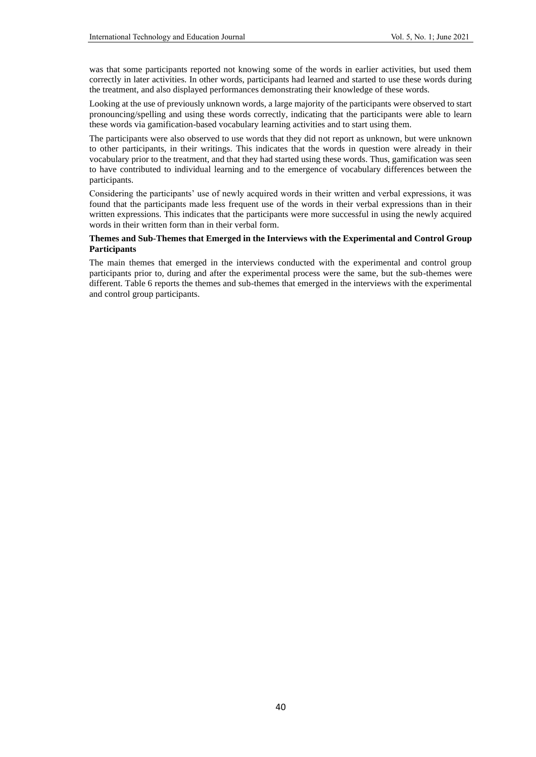was that some participants reported not knowing some of the words in earlier activities, but used them correctly in later activities. In other words, participants had learned and started to use these words during the treatment, and also displayed performances demonstrating their knowledge of these words.

Looking at the use of previously unknown words, a large majority of the participants were observed to start pronouncing/spelling and using these words correctly, indicating that the participants were able to learn these words via gamification-based vocabulary learning activities and to start using them.

The participants were also observed to use words that they did not report as unknown, but were unknown to other participants, in their writings. This indicates that the words in question were already in their vocabulary prior to the treatment, and that they had started using these words. Thus, gamification was seen to have contributed to individual learning and to the emergence of vocabulary differences between the participants.

Considering the participants' use of newly acquired words in their written and verbal expressions, it was found that the participants made less frequent use of the words in their verbal expressions than in their written expressions. This indicates that the participants were more successful in using the newly acquired words in their written form than in their verbal form.

#### **Themes and Sub-Themes that Emerged in the Interviews with the Experimental and Control Group Participants**

The main themes that emerged in the interviews conducted with the experimental and control group participants prior to, during and after the experimental process were the same, but the sub-themes were different. Table 6 reports the themes and sub-themes that emerged in the interviews with the experimental and control group participants.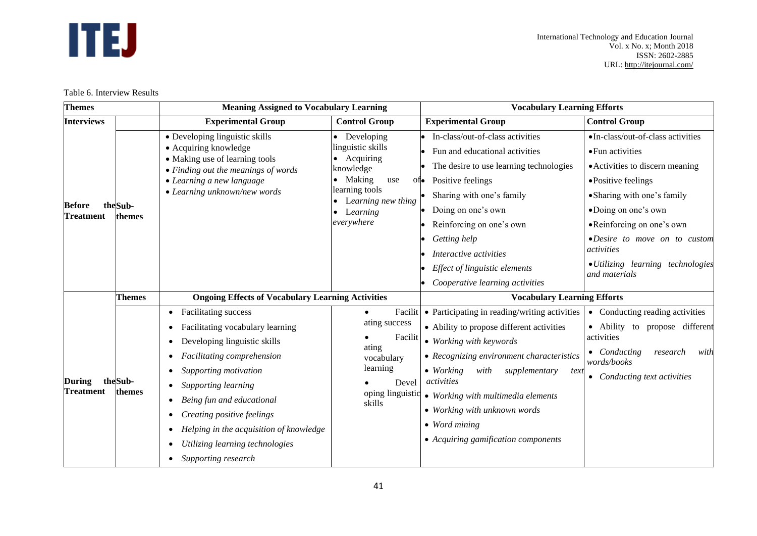# **ITEJ**

Table 6. Interview Results

| <b>Themes</b>              |                   | <b>Meaning Assigned to Vocabulary Learning</b>           |                                      | <b>Vocabulary Learning Efforts</b>                   |                                                    |  |  |
|----------------------------|-------------------|----------------------------------------------------------|--------------------------------------|------------------------------------------------------|----------------------------------------------------|--|--|
| <b>Interviews</b>          |                   | <b>Experimental Group</b>                                | <b>Control Group</b>                 | <b>Experimental Group</b>                            | <b>Control Group</b>                               |  |  |
|                            |                   | • Developing linguistic skills                           | • Developing                         | • In-class/out-of-class activities                   | ·In-class/out-of-class activities                  |  |  |
|                            |                   | • Acquiring knowledge<br>• Making use of learning tools  | linguistic skills<br>• Acquiring     | Fun and educational activities<br>$\bullet$          | • Fun activities                                   |  |  |
|                            |                   | • Finding out the meanings of words                      | knowledge                            | The desire to use learning technologies<br>$\bullet$ | • Activities to discern meaning                    |  |  |
|                            |                   | • Learning a new language                                | • Making<br>use                      | Positive feelings<br>$0$ to                          | • Positive feelings                                |  |  |
|                            |                   | • Learning unknown/new words                             | learning tools<br>Learning new thing | Sharing with one's family                            | • Sharing with one's family                        |  |  |
| Before<br><b>Treatment</b> | theSub-<br>themes |                                                          | Learning                             | Doing on one's own                                   | •Doing on one's own                                |  |  |
|                            |                   |                                                          | everywhere                           | Reinforcing on one's own                             | •Reinforcing on one's own                          |  |  |
|                            |                   |                                                          |                                      | Getting help<br>$\bullet$                            | ·Desire to move on to custom                       |  |  |
|                            |                   |                                                          |                                      | Interactive activities                               | activities                                         |  |  |
|                            |                   |                                                          |                                      | Effect of linguistic elements                        | • Utilizing learning technologies<br>and materials |  |  |
|                            |                   |                                                          |                                      | Cooperative learning activities                      |                                                    |  |  |
|                            | <b>Themes</b>     | <b>Ongoing Effects of Vocabulary Learning Activities</b> |                                      | <b>Vocabulary Learning Efforts</b>                   |                                                    |  |  |
|                            |                   | Facilitating success<br>$\bullet$                        | Facilit<br>$\bullet$                 | • Participating in reading/writing activities        | • Conducting reading activities                    |  |  |
|                            |                   | Facilitating vocabulary learning                         | ating success                        | • Ability to propose different activities            | • Ability to propose different                     |  |  |
|                            |                   | Developing linguistic skills                             | Facilit<br>ating                     | • Working with keywords                              | activities                                         |  |  |
|                            |                   | Facilitating comprehension                               | vocabulary                           | • Recognizing environment characteristics            | • Conducting<br>research<br>with<br>words/books    |  |  |
|                            |                   | Supporting motivation                                    | learning                             | $\bullet$ Working<br>supplementary<br>with<br>text   | • Conducting text activities                       |  |  |
| During<br><b>Treatment</b> | theSub-<br>themes | Supporting learning<br>٠                                 | Devel<br>oping linguistic            | activities                                           |                                                    |  |  |
|                            |                   | Being fun and educational                                | skills                               | • Working with multimedia elements                   |                                                    |  |  |
|                            |                   | Creating positive feelings<br>٠                          |                                      | • Working with unknown words                         |                                                    |  |  |
|                            |                   | Helping in the acquisition of knowledge                  |                                      | $\bullet$ Word mining                                |                                                    |  |  |
|                            |                   | Utilizing learning technologies                          |                                      | • Acquiring gamification components                  |                                                    |  |  |
|                            |                   | Supporting research<br>$\bullet$                         |                                      |                                                      |                                                    |  |  |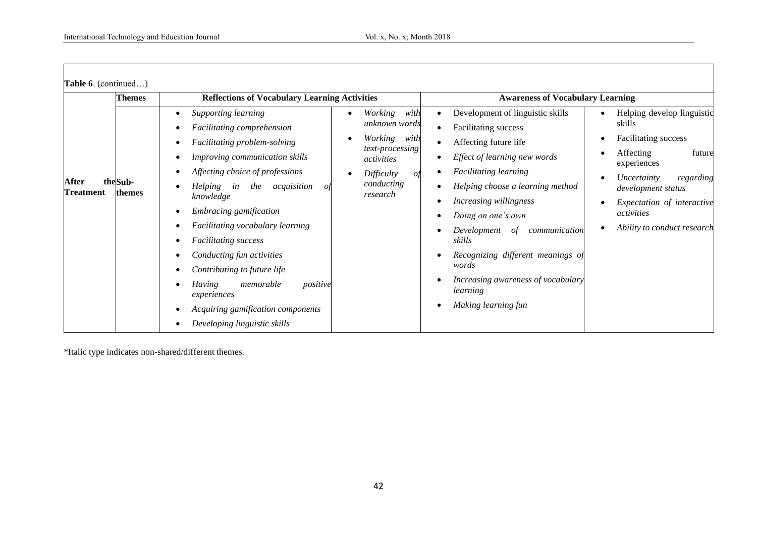| <b>Themes</b>                           | <b>Reflections of Vocabulary Learning Activities</b>                                                                                                                                                                                                                                                                                                                                                                                                                                                    |                                                                                                                                           | <b>Awareness of Vocabulary Learning</b>                                                                                                                                                                                                                                                                                                                                                                             |                                                                                                                                                                                                                                 |  |  |  |
|-----------------------------------------|---------------------------------------------------------------------------------------------------------------------------------------------------------------------------------------------------------------------------------------------------------------------------------------------------------------------------------------------------------------------------------------------------------------------------------------------------------------------------------------------------------|-------------------------------------------------------------------------------------------------------------------------------------------|---------------------------------------------------------------------------------------------------------------------------------------------------------------------------------------------------------------------------------------------------------------------------------------------------------------------------------------------------------------------------------------------------------------------|---------------------------------------------------------------------------------------------------------------------------------------------------------------------------------------------------------------------------------|--|--|--|
| After<br>theSub-<br>Treatment<br>themes | Supporting learning<br>Facilitating comprehension<br>Facilitating problem-solving<br>Improving communication skills<br>Affecting choice of professions<br><i>Helping</i><br>acquisition<br>the<br>in<br>01<br>knowledge<br>Embracing gamification<br>Facilitating vocabulary learning<br><b>Facilitating</b> success<br>Conducting fun activities<br>Contributing to future life<br>Having<br>memorable<br>positive<br>experiences<br>Acquiring gamification components<br>Developing linguistic skills | Working<br>with<br>unknown words<br>Working<br>with<br>text-processing<br>activities<br><b>Difficulty</b><br>οf<br>conducting<br>research | Development of linguistic skills<br>Facilitating success<br>Affecting future life<br>Effect of learning new words<br><b>Facilitating learning</b><br>Helping choose a learning method<br><i>Increasing willingness</i><br>Doing on one's own<br>Development<br>communication<br>οf<br>skills<br>Recognizing different meanings of<br>words<br>Increasing awareness of vocabulary<br>learning<br>Making learning fun | Helping develop linguistic<br>skills<br>Facilitating success<br>Affecting<br>future<br>experiences<br>Uncertainty<br>regarding<br>development status<br>Expectation of interactive<br>activities<br>Ability to conduct research |  |  |  |

\*Italic type indicates non-shared/different themes.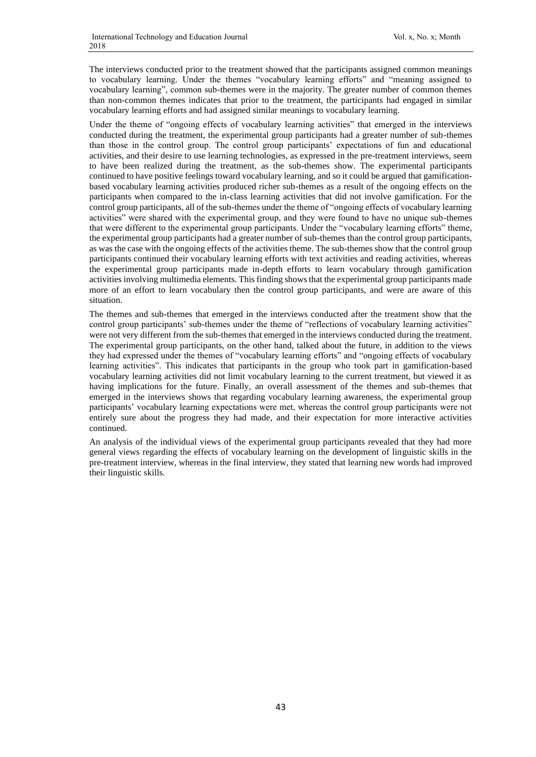The interviews conducted prior to the treatment showed that the participants assigned common meanings to vocabulary learning. Under the themes "vocabulary learning efforts" and "meaning assigned to vocabulary learning", common sub-themes were in the majority. The greater number of common themes than non-common themes indicates that prior to the treatment, the participants had engaged in similar vocabulary learning efforts and had assigned similar meanings to vocabulary learning.

Under the theme of "ongoing effects of vocabulary learning activities" that emerged in the interviews conducted during the treatment, the experimental group participants had a greater number of sub-themes than those in the control group. The control group participants' expectations of fun and educational activities, and their desire to use learning technologies, as expressed in the pre-treatment interviews, seem to have been realized during the treatment, as the sub-themes show. The experimental participants continued to have positive feelings toward vocabulary learning, and so it could be argued that gamificationbased vocabulary learning activities produced richer sub-themes as a result of the ongoing effects on the participants when compared to the in-class learning activities that did not involve gamification. For the control group participants, all of the sub-themes under the theme of "ongoing effects of vocabulary learning activities" were shared with the experimental group, and they were found to have no unique sub-themes that were different to the experimental group participants. Under the "vocabulary learning efforts" theme, the experimental group participants had a greater number of sub-themes than the control group participants, as was the case with the ongoing effects of the activities theme. The sub-themes show that the control group participants continued their vocabulary learning efforts with text activities and reading activities, whereas the experimental group participants made in-depth efforts to learn vocabulary through gamification activities involving multimedia elements. This finding shows that the experimental group participants made more of an effort to learn vocabulary then the control group participants, and were are aware of this situation.

The themes and sub-themes that emerged in the interviews conducted after the treatment show that the control group participants' sub-themes under the theme of "reflections of vocabulary learning activities" were not very different from the sub-themes that emerged in the interviews conducted during the treatment. The experimental group participants, on the other hand, talked about the future, in addition to the views they had expressed under the themes of "vocabulary learning efforts" and "ongoing effects of vocabulary learning activities". This indicates that participants in the group who took part in gamification-based vocabulary learning activities did not limit vocabulary learning to the current treatment, but viewed it as having implications for the future. Finally, an overall assessment of the themes and sub-themes that emerged in the interviews shows that regarding vocabulary learning awareness, the experimental group participants' vocabulary learning expectations were met, whereas the control group participants were not entirely sure about the progress they had made, and their expectation for more interactive activities continued.

An analysis of the individual views of the experimental group participants revealed that they had more general views regarding the effects of vocabulary learning on the development of linguistic skills in the pre-treatment interview, whereas in the final interview, they stated that learning new words had improved their linguistic skills.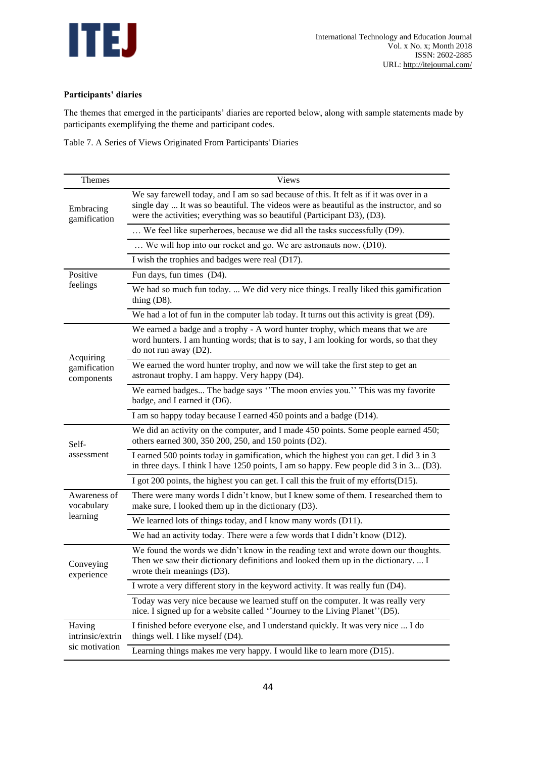

## **Participants' diaries**

The themes that emerged in the participants' diaries are reported below, along with sample statements made by participants exemplifying the theme and participant codes.

Table 7. A Series of Views Originated From Participants' Diaries

| Themes                     | Views                                                                                                                                                                                                                                                         |
|----------------------------|---------------------------------------------------------------------------------------------------------------------------------------------------------------------------------------------------------------------------------------------------------------|
| Embracing<br>gamification  | We say farewell today, and I am so sad because of this. It felt as if it was over in a<br>single day  It was so beautiful. The videos were as beautiful as the instructor, and so<br>were the activities; everything was so beautiful (Participant D3), (D3). |
|                            | We feel like superheroes, because we did all the tasks successfully (D9).                                                                                                                                                                                     |
|                            | We will hop into our rocket and go. We are astronauts now. (D10).                                                                                                                                                                                             |
|                            | I wish the trophies and badges were real (D17).                                                                                                                                                                                                               |
| Positive                   | Fun days, fun times (D4).                                                                                                                                                                                                                                     |
| feelings                   | We had so much fun today.  We did very nice things. I really liked this gamification<br>thing $(D8)$ .                                                                                                                                                        |
|                            | We had a lot of fun in the computer lab today. It turns out this activity is great (D9).                                                                                                                                                                      |
| Acquiring                  | We earned a badge and a trophy - A word hunter trophy, which means that we are<br>word hunters. I am hunting words; that is to say, I am looking for words, so that they<br>do not run away (D2).                                                             |
| gamification<br>components | We earned the word hunter trophy, and now we will take the first step to get an<br>astronaut trophy. I am happy. Very happy (D4).                                                                                                                             |
|                            | We earned badges The badge says "The moon envies you." This was my favorite<br>badge, and I earned it (D6).                                                                                                                                                   |
|                            | I am so happy today because I earned 450 points and a badge (D14).                                                                                                                                                                                            |
| Self-                      | We did an activity on the computer, and I made 450 points. Some people earned 450;<br>others earned 300, 350 200, 250, and 150 points (D2).                                                                                                                   |
| assessment                 | I earned 500 points today in gamification, which the highest you can get. I did 3 in 3<br>in three days. I think I have 1250 points, I am so happy. Few people did 3 in 3 (D3).                                                                               |
|                            | I got 200 points, the highest you can get. I call this the fruit of my efforts(D15).                                                                                                                                                                          |
| Awareness of<br>vocabulary | There were many words I didn't know, but I knew some of them. I researched them to<br>make sure, I looked them up in the dictionary (D3).                                                                                                                     |
| learning                   | We learned lots of things today, and I know many words (D11).                                                                                                                                                                                                 |
|                            | We had an activity today. There were a few words that I didn't know (D12).                                                                                                                                                                                    |
| Conveying<br>experience    | We found the words we didn't know in the reading text and wrote down our thoughts.<br>Then we saw their dictionary definitions and looked them up in the dictionary.  I<br>wrote their meanings (D3).                                                         |
|                            | I wrote a very different story in the keyword activity. It was really fun (D4).                                                                                                                                                                               |
|                            | Today was very nice because we learned stuff on the computer. It was really very<br>nice. I signed up for a website called "Journey to the Living Planet" (D5).                                                                                               |
| Having<br>intrinsic/extrin | I finished before everyone else, and I understand quickly. It was very nice  I do<br>things well. I like myself (D4).                                                                                                                                         |
| sic motivation             | Learning things makes me very happy. I would like to learn more (D15).                                                                                                                                                                                        |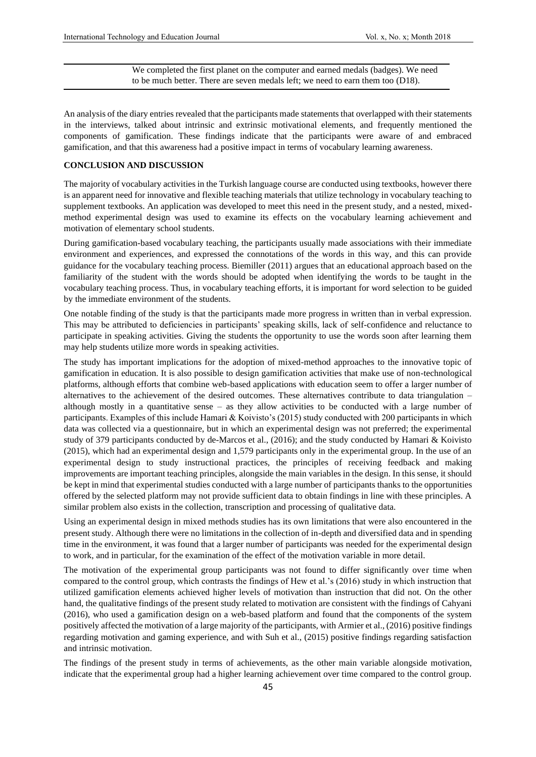We completed the first planet on the computer and earned medals (badges). We need to be much better. There are seven medals left; we need to earn them too (D18).

An analysis of the diary entries revealed that the participants made statements that overlapped with their statements in the interviews, talked about intrinsic and extrinsic motivational elements, and frequently mentioned the components of gamification. These findings indicate that the participants were aware of and embraced gamification, and that this awareness had a positive impact in terms of vocabulary learning awareness.

#### **CONCLUSION AND DISCUSSION**

The majority of vocabulary activities in the Turkish language course are conducted using textbooks, however there is an apparent need for innovative and flexible teaching materials that utilize technology in vocabulary teaching to supplement textbooks. An application was developed to meet this need in the present study, and a nested, mixedmethod experimental design was used to examine its effects on the vocabulary learning achievement and motivation of elementary school students.

During gamification-based vocabulary teaching, the participants usually made associations with their immediate environment and experiences, and expressed the connotations of the words in this way, and this can provide guidance for the vocabulary teaching process. Biemiller (2011) argues that an educational approach based on the familiarity of the student with the words should be adopted when identifying the words to be taught in the vocabulary teaching process. Thus, in vocabulary teaching efforts, it is important for word selection to be guided by the immediate environment of the students.

One notable finding of the study is that the participants made more progress in written than in verbal expression. This may be attributed to deficiencies in participants' speaking skills, lack of self-confidence and reluctance to participate in speaking activities. Giving the students the opportunity to use the words soon after learning them may help students utilize more words in speaking activities.

The study has important implications for the adoption of mixed-method approaches to the innovative topic of gamification in education. It is also possible to design gamification activities that make use of non-technological platforms, although efforts that combine web-based applications with education seem to offer a larger number of alternatives to the achievement of the desired outcomes. These alternatives contribute to data triangulation – although mostly in a quantitative sense – as they allow activities to be conducted with a large number of participants. Examples of this include Hamari & Koivisto's (2015) study conducted with 200 participants in which data was collected via a questionnaire, but in which an experimental design was not preferred; the experimental study of 379 participants conducted by de-Marcos et al., (2016); and the study conducted by Hamari & Koivisto (2015), which had an experimental design and 1,579 participants only in the experimental group. In the use of an experimental design to study instructional practices, the principles of receiving feedback and making improvements are important teaching principles, alongside the main variables in the design. In this sense, it should be kept in mind that experimental studies conducted with a large number of participants thanks to the opportunities offered by the selected platform may not provide sufficient data to obtain findings in line with these principles. A similar problem also exists in the collection, transcription and processing of qualitative data.

Using an experimental design in mixed methods studies has its own limitations that were also encountered in the present study. Although there were no limitations in the collection of in-depth and diversified data and in spending time in the environment, it was found that a larger number of participants was needed for the experimental design to work, and in particular, for the examination of the effect of the motivation variable in more detail.

The motivation of the experimental group participants was not found to differ significantly over time when compared to the control group, which contrasts the findings of Hew et al.'s (2016) study in which instruction that utilized gamification elements achieved higher levels of motivation than instruction that did not. On the other hand, the qualitative findings of the present study related to motivation are consistent with the findings of Cahyani (2016), who used a gamification design on a web-based platform and found that the components of the system positively affected the motivation of a large majority of the participants, with Armier et al., (2016) positive findings regarding motivation and gaming experience, and with Suh et al., (2015) positive findings regarding satisfaction and intrinsic motivation.

The findings of the present study in terms of achievements, as the other main variable alongside motivation, indicate that the experimental group had a higher learning achievement over time compared to the control group.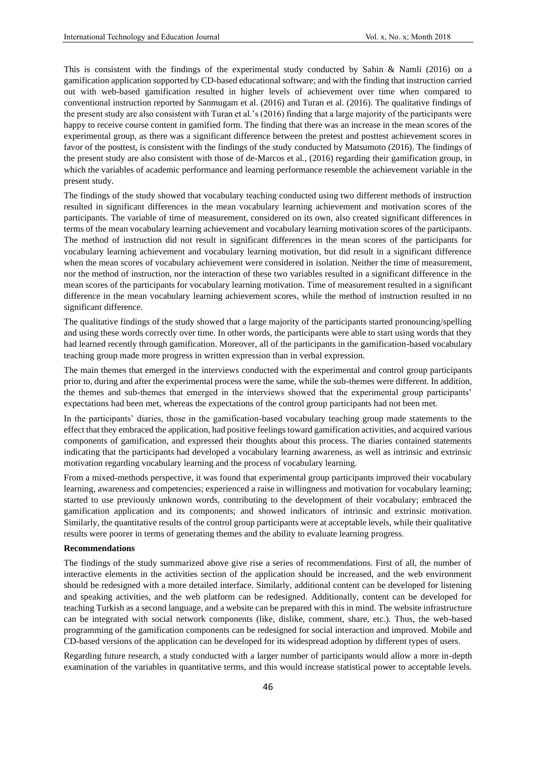This is consistent with the findings of the experimental study conducted by Sahin & Namli (2016) on a gamification application supported by CD-based educational software; and with the finding that instruction carried out with web-based gamification resulted in higher levels of achievement over time when compared to conventional instruction reported by Sanmugam et al. (2016) and Turan et al. (2016). The qualitative findings of the present study are also consistent with Turan et al.'s (2016) finding that a large majority of the participants were happy to receive course content in gamified form. The finding that there was an increase in the mean scores of the experimental group, as there was a significant difference between the pretest and posttest achievement scores in favor of the posttest, is consistent with the findings of the study conducted by Matsumoto (2016). The findings of the present study are also consistent with those of de-Marcos et al., (2016) regarding their gamification group, in which the variables of academic performance and learning performance resemble the achievement variable in the present study.

The findings of the study showed that vocabulary teaching conducted using two different methods of instruction resulted in significant differences in the mean vocabulary learning achievement and motivation scores of the participants. The variable of time of measurement, considered on its own, also created significant differences in terms of the mean vocabulary learning achievement and vocabulary learning motivation scores of the participants. The method of instruction did not result in significant differences in the mean scores of the participants for vocabulary learning achievement and vocabulary learning motivation, but did result in a significant difference when the mean scores of vocabulary achievement were considered in isolation. Neither the time of measurement, nor the method of instruction, nor the interaction of these two variables resulted in a significant difference in the mean scores of the participants for vocabulary learning motivation. Time of measurement resulted in a significant difference in the mean vocabulary learning achievement scores, while the method of instruction resulted in no significant difference.

The qualitative findings of the study showed that a large majority of the participants started pronouncing/spelling and using these words correctly over time. In other words, the participants were able to start using words that they had learned recently through gamification. Moreover, all of the participants in the gamification-based vocabulary teaching group made more progress in written expression than in verbal expression.

The main themes that emerged in the interviews conducted with the experimental and control group participants prior to, during and after the experimental process were the same, while the sub-themes were different. In addition, the themes and sub-themes that emerged in the interviews showed that the experimental group participants' expectations had been met, whereas the expectations of the control group participants had not been met.

In the participants' diaries, those in the gamification-based vocabulary teaching group made statements to the effect that they embraced the application, had positive feelings toward gamification activities, and acquired various components of gamification, and expressed their thoughts about this process. The diaries contained statements indicating that the participants had developed a vocabulary learning awareness, as well as intrinsic and extrinsic motivation regarding vocabulary learning and the process of vocabulary learning.

From a mixed-methods perspective, it was found that experimental group participants improved their vocabulary learning, awareness and competencies; experienced a raise in willingness and motivation for vocabulary learning; started to use previously unknown words, contributing to the development of their vocabulary; embraced the gamification application and its components; and showed indicators of intrinsic and extrinsic motivation. Similarly, the quantitative results of the control group participants were at acceptable levels, while their qualitative results were poorer in terms of generating themes and the ability to evaluate learning progress.

#### **Recommendations**

The findings of the study summarized above give rise a series of recommendations. First of all, the number of interactive elements in the activities section of the application should be increased, and the web environment should be redesigned with a more detailed interface. Similarly, additional content can be developed for listening and speaking activities, and the web platform can be redesigned. Additionally, content can be developed for teaching Turkish as a second language, and a website can be prepared with this in mind. The website infrastructure can be integrated with social network components (like, dislike, comment, share, etc.). Thus, the web-based programming of the gamification components can be redesigned for social interaction and improved. Mobile and CD-based versions of the application can be developed for its widespread adoption by different types of users.

Regarding future research, a study conducted with a larger number of participants would allow a more in-depth examination of the variables in quantitative terms, and this would increase statistical power to acceptable levels.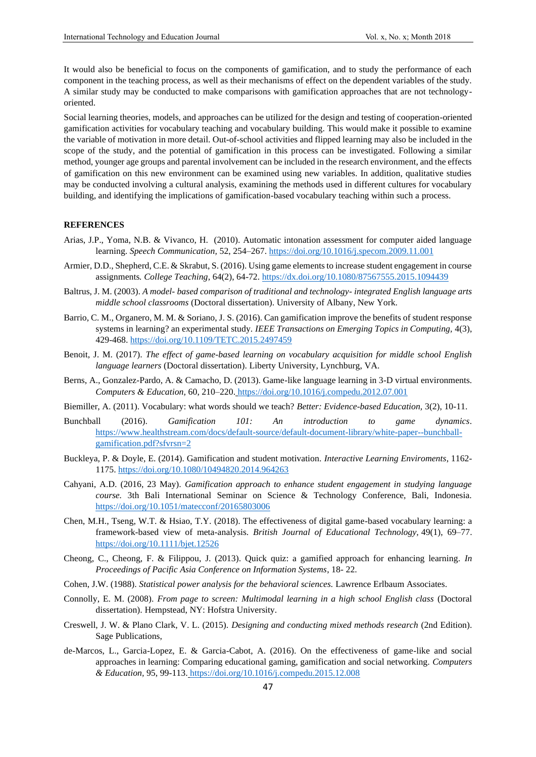It would also be beneficial to focus on the components of gamification, and to study the performance of each component in the teaching process, as well as their mechanisms of effect on the dependent variables of the study. A similar study may be conducted to make comparisons with gamification approaches that are not technologyoriented.

Social learning theories, models, and approaches can be utilized for the design and testing of cooperation-oriented gamification activities for vocabulary teaching and vocabulary building. This would make it possible to examine the variable of motivation in more detail. Out-of-school activities and flipped learning may also be included in the scope of the study, and the potential of gamification in this process can be investigated. Following a similar method, younger age groups and parental involvement can be included in the research environment, and the effects of gamification on this new environment can be examined using new variables. In addition, qualitative studies may be conducted involving a cultural analysis, examining the methods used in different cultures for vocabulary building, and identifying the implications of gamification-based vocabulary teaching within such a process.

#### **REFERENCES**

- Arias, J.P., Yoma, N.B. & Vivanco, H. (2010). Automatic intonation assessment for computer aided language learning. *Speech Communication,* 52, 254–267.<https://doi.org/10.1016/j.specom.2009.11.001>
- Armier, D.D., Shepherd, C.E. & Skrabut, S. (2016). Using game elements to increase student engagement in course assignments*. College Teaching*, 64(2), 64-72.<https://dx.doi.org/10.1080/87567555.2015.1094439>
- Baltrus, J. M. (2003). *A model- based comparison of traditional and technology- integrated English language arts middle school classrooms* (Doctoral dissertation). University of Albany, New York.
- Barrio, C. M., Organero, M. M. & Soriano, J. S. (2016). Can gamification improve the benefits of student response systems in learning? an experimental study. *IEEE Transactions on Emerging Topics in Computing,* 4(3), 429-468[. https://doi.org/10.1109/TETC.2015.2497459](https://doi.org/10.1109/TETC.2015.2497459)
- Benoit, J. M. (2017). *The effect of game-based learning on vocabulary acquisition for middle school English language learners* (Doctoral dissertation). Liberty University, Lynchburg, VA.
- Berns, A., Gonzalez-Pardo, A. & Camacho, D. (2013). Game-like language learning in 3-D virtual environments. *Computers & Education,* 60, 210–220. <https://doi.org/10.1016/j.compedu.2012.07.001>
- Biemiller, A. (2011). Vocabulary: what words should we teach? *Better: Evidence-based Education,* 3(2), 10-11.
- Bunchball (2016). *Gamification 101: An introduction to game dynamics*. [https://www.healthstream.com/docs/default-source/default-document-library/white-paper--bunchball](https://www.healthstream.com/docs/default-source/default-document-library/white-paper--bunchball-gamification.pdf?sfvrsn=2)[gamification.pdf?sfvrsn=2](https://www.healthstream.com/docs/default-source/default-document-library/white-paper--bunchball-gamification.pdf?sfvrsn=2)
- Buckleya, P. & Doyle, E. (2014). Gamification and student motivation. *Interactive Learning Enviroments*, 1162- 1175.<https://doi.org/10.1080/10494820.2014.964263>
- Cahyani, A.D. (2016, 23 May). *Gamification approach to enhance student engagement in studying language course.* 3th Bali International Seminar on Science & Technology Conference, Bali, Indonesia. <https://doi.org/10.1051/matecconf/20165803006>
- Chen, M.H., Tseng, W.T. & Hsiao, T.Y. (2018). The effectiveness of digital game-based vocabulary learning: a framework-based view of meta-analysis. *British Journal of Educational Technology,* 49(1), 69–77. <https://doi.org/10.1111/bjet.12526>
- Cheong, C., Cheong, F. & Filippou, J. (2013). Quick quiz: a gamified approach for enhancing learning. *In Proceedings of Pacific Asia Conference on Information Systems*, 18- 22.
- Cohen, J.W. (1988). *Statistical power analysis for the behavioral sciences.* Lawrence Erlbaum Associates.
- Connolly, E. M. (2008). *From page to screen: Multimodal learning in a high school English class* (Doctoral dissertation). Hempstead, NY: Hofstra University.
- Creswell, J. W. & Plano Clark, V. L. (2015). *Designing and conducting mixed methods research* (2nd Edition). Sage Publications,
- de-Marcos, L., Garcia-Lopez, E. & Garcia-Cabot, A. (2016). On the effectiveness of game-like and social approaches in learning: Comparing educational gaming, gamification and social networking. *Computers & Education,* 95, 99-113. <https://doi.org/10.1016/j.compedu.2015.12.008>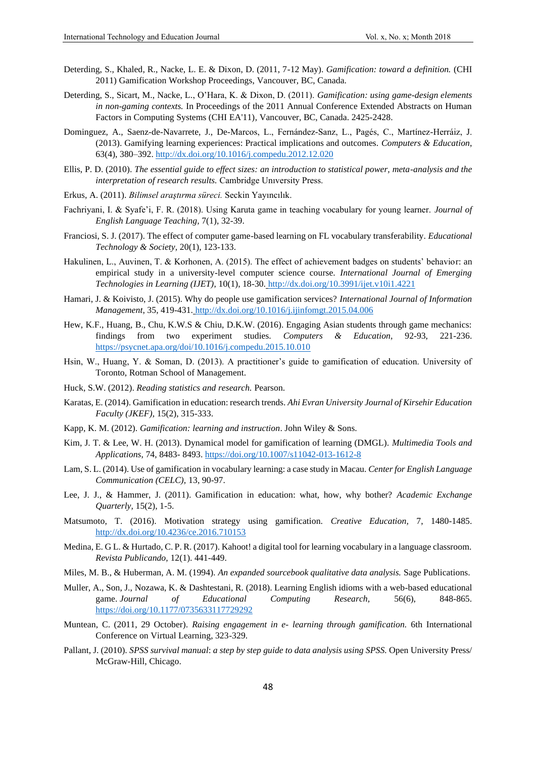- Deterding, S., Khaled, R., Nacke, L. E. & Dixon, D. (2011, 7-12 May). *Gamification: toward a definition.* (CHI 2011) Gamification Workshop Proceedings, Vancouver, BC, Canada.
- Deterding, S., Sicart, M., Nacke, L., O'Hara, K. & Dixon, D. (2011). *Gamification: using game-design elements in non-gaming contexts.* In Proceedings of the 2011 Annual Conference Extended Abstracts on Human Factors in Computing Systems (CHI EA'11), Vancouver, BC, Canada. 2425-2428.
- Dominguez, A., Saenz-de-Navarrete, J., De-Marcos, L., Fernández-Sanz, L., Pagés, C., Martínez-Herráiz, J. (2013). Gamifying learning experiences: Practical implications and outcomes. *Computers & Education*, 63(4), 380–392.<http://dx.doi.org/10.1016/j.compedu.2012.12.020>
- Ellis, P. D. (2010). *The essential guide to effect sizes: an introduction to statistical power, meta-analysis and the interpretation of research results.* Cambridge Unıversity Press.
- Erkus, A. (2011). *Bilimsel araştırma süreci.* Seckin Yayıncılık.
- Fachriyani, I. & Syafe'i, F. R. (2018). Using Karuta game in teaching vocabulary for young learner. *Journal of English Language Teaching,* 7(1), 32-39.
- Franciosi, S. J. (2017). The effect of computer game-based learning on FL vocabulary transferability. *Educational Technology & Society,* 20(1), 123-133.
- Hakulinen, L., Auvinen, T. & Korhonen, A. (2015). The effect of achievement badges on students' behavior: an empirical study in a university-level computer science course. *International Journal of Emerging Technologies in Learning (IJET)*, 10(1), 18-30. <http://dx.doi.org/10.3991/ijet.v10i1.4221>
- Hamari, J. & Koivisto, J. (2015). Why do people use gamification services? *International Journal of Information Management*, 35, 419-431. <http://dx.doi.org/10.1016/j.ijinfomgt.2015.04.006>
- Hew, K.F., Huang, B., Chu, K.W.S & Chiu, D.K.W. (2016). Engaging Asian students through game mechanics: findings from two experiment studies. *Computers & Education,* 92-93, 221-236. <https://psycnet.apa.org/doi/10.1016/j.compedu.2015.10.010>
- Hsin, W., Huang, Y. & Soman, D. (2013). A practitioner's guide to gamification of education. University of Toronto, Rotman School of Management.
- Huck, S.W. (2012). *Reading statistics and research.* Pearson.
- Karatas, E. (2014). Gamification in education: research trends. *Ahi Evran University Journal of Kirsehir Education Faculty (JKEF),* 15(2), 315-333.
- Kapp, K. M. (2012). *Gamification: learning and instruction*. John Wiley & Sons.
- Kim, J. T. & Lee, W. H. (2013). Dynamical model for gamification of learning (DMGL). *Multimedia Tools and Applications*, 74, 8483- 8493[. https://doi.org/10.1007/s11042-013-1612-8](https://doi.org/10.1007/s11042-013-1612-8)
- Lam, S. L. (2014). Use of gamification in vocabulary learning: a case study in Macau. *Center for English Language Communication (CELC),* 13, 90-97.
- Lee, J. J., & Hammer, J. (2011). Gamification in education: what, how, why bother? *Academic Exchange Quarterly,* 15(2), 1-5.
- Matsumoto, T. (2016). Motivation strategy using gamification. *Creative Education,* 7, 1480-1485. <http://dx.doi.org/10.4236/ce.2016.710153>
- Medina, E. G L. & Hurtado, C. P. R. (2017). Kahoot! a digital tool for learning vocabulary in a language classroom. *Revista Publicando,* 12(1). 441-449.
- Miles, M. B., & Huberman, A. M. (1994). *An expanded sourcebook qualitative data analysis.* Sage Publications.
- Muller, A., Son, J., Nozawa, K. & Dashtestani, R. (2018). Learning English idioms with a web-based educational game. *Journal of Educational Computing Research,* 56(6), 848-865. [https://doi.org/10.1177/0735633117729292](https://doi.org/10.1177%2F0735633117729292)
- Muntean, C. (2011, 29 October). *Raising engagement in e- learning through gamification.* 6th International Conference on Virtual Learning, 323-329.
- Pallant, J. (2010). *SPSS survival manual*: *a step by step guide to data analysis using SPSS.* Open University Press/ McGraw-Hill, Chicago.